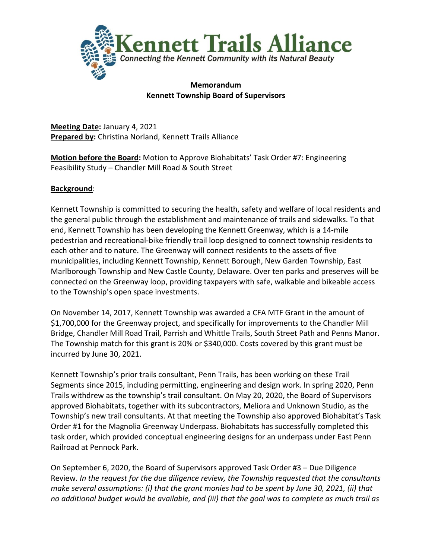

### **Memorandum Kennett Township Board of Supervisors**

**Meeting Date:** January 4, 2021 **Prepared by:** Christina Norland, Kennett Trails Alliance

**Motion before the Board:** Motion to Approve Biohabitats' Task Order #7: Engineering Feasibility Study – Chandler Mill Road & South Street

## **Background**:

Kennett Township is committed to securing the health, safety and welfare of local residents and the general public through the establishment and maintenance of trails and sidewalks. To that end, Kennett Township has been developing the Kennett Greenway, which is a 14-mile pedestrian and recreational-bike friendly trail loop designed to connect township residents to each other and to nature. The Greenway will connect residents to the assets of five municipalities, including Kennett Township, Kennett Borough, New Garden Township, East Marlborough Township and New Castle County, Delaware. Over ten parks and preserves will be connected on the Greenway loop, providing taxpayers with safe, walkable and bikeable access to the Township's open space investments.

On November 14, 2017, Kennett Township was awarded a CFA MTF Grant in the amount of \$1,700,000 for the Greenway project, and specifically for improvements to the Chandler Mill Bridge, Chandler Mill Road Trail, Parrish and Whittle Trails, South Street Path and Penns Manor. The Township match for this grant is 20% or \$340,000. Costs covered by this grant must be incurred by June 30, 2021.

Kennett Township's prior trails consultant, Penn Trails, has been working on these Trail Segments since 2015, including permitting, engineering and design work. In spring 2020, Penn Trails withdrew as the township's trail consultant. On May 20, 2020, the Board of Supervisors approved Biohabitats, together with its subcontractors, Meliora and Unknown Studio, as the Township's new trail consultants. At that meeting the Township also approved Biohabitat's Task Order #1 for the Magnolia Greenway Underpass. Biohabitats has successfully completed this task order, which provided conceptual engineering designs for an underpass under East Penn Railroad at Pennock Park.

<span id="page-0-0"></span>On September 6, 2020, the Board of Supervisors approved Task Order #3 – Due Diligence Review. *In the request for the due diligence review, the Township requested that the consultants make several assumptions: (i) that the grant monies had to be spent by June 30, 2021, (ii) that no additional budget would be available, and (iii) that the goal was to complete as much trail as*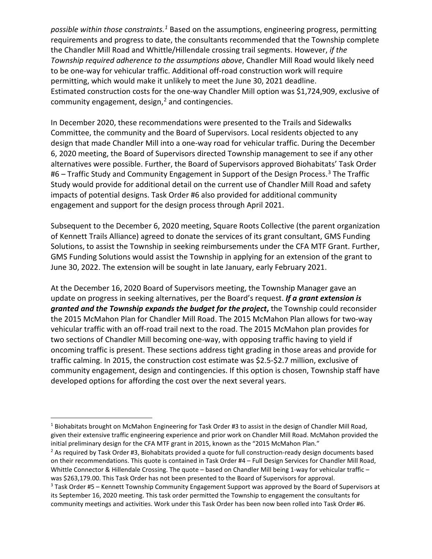*possible within those constraints.[1](#page-0-0)* Based on the assumptions, engineering progress, permitting requirements and progress to date, the consultants recommended that the Township complete the Chandler Mill Road and Whittle/Hillendale crossing trail segments. However, *if the Township required adherence to the assumptions above*, Chandler Mill Road would likely need to be one-way for vehicular traffic. Additional off-road construction work will require permitting, which would make it unlikely to meet the June 30, 2021 deadline. Estimated construction costs for the one-way Chandler Mill option was \$1,724,909, exclusive of community engagement, design, $<sup>2</sup>$  $<sup>2</sup>$  $<sup>2</sup>$  and contingencies.</sup>

In December 2020, these recommendations were presented to the Trails and Sidewalks Committee, the community and the Board of Supervisors. Local residents objected to any design that made Chandler Mill into a one-way road for vehicular traffic. During the December 6, 2020 meeting, the Board of Supervisors directed Township management to see if any other alternatives were possible. Further, the Board of Supervisors approved Biohabitats' Task Order #6 – Traffic Study and Community Engagement in Support of the Design Process.<sup>[3](#page-1-1)</sup> The Traffic Study would provide for additional detail on the current use of Chandler Mill Road and safety impacts of potential designs. Task Order #6 also provided for additional community engagement and support for the design process through April 2021.

Subsequent to the December 6, 2020 meeting, Square Roots Collective (the parent organization of Kennett Trails Alliance) agreed to donate the services of its grant consultant, GMS Funding Solutions, to assist the Township in seeking reimbursements under the CFA MTF Grant. Further, GMS Funding Solutions would assist the Township in applying for an extension of the grant to June 30, 2022. The extension will be sought in late January, early February 2021.

At the December 16, 2020 Board of Supervisors meeting, the Township Manager gave an update on progress in seeking alternatives, per the Board's request. *If a grant extension is granted and the Township expands the budget for the project***,** the Township could reconsider the 2015 McMahon Plan for Chandler Mill Road. The 2015 McMahon Plan allows for two-way vehicular traffic with an off-road trail next to the road. The 2015 McMahon plan provides for two sections of Chandler Mill becoming one-way, with opposing traffic having to yield if oncoming traffic is present. These sections address tight grading in those areas and provide for traffic calming. In 2015, the construction cost estimate was \$2.5-\$2.7 million, exclusive of community engagement, design and contingencies. If this option is chosen, Township staff have developed options for affording the cost over the next several years.

<sup>1</sup> Biohabitats brought on McMahon Engineering for Task Order #3 to assist in the design of Chandler Mill Road, given their extensive traffic engineering experience and prior work on Chandler Mill Road. McMahon provided the initial preliminary design for the CFA MTF grant in 2015, known as the "2015 McMahon Plan."

<span id="page-1-0"></span> $<sup>2</sup>$  As required by Task Order #3, Biohabitats provided a quote for full construction-ready design documents based</sup> on their recommendations. This quote is contained in Task Order #4 – Full Design Services for Chandler Mill Road, Whittle Connector & Hillendale Crossing. The quote – based on Chandler Mill being 1-way for vehicular traffic – was \$263,179.00. This Task Order has not been presented to the Board of Supervisors for approval.

<span id="page-1-1"></span><sup>3</sup> Task Order #5 – Kennett Township Community Engagement Support was approved by the Board of Supervisors at its September 16, 2020 meeting. This task order permitted the Township to engagement the consultants for community meetings and activities. Work under this Task Order has been now been rolled into Task Order #6.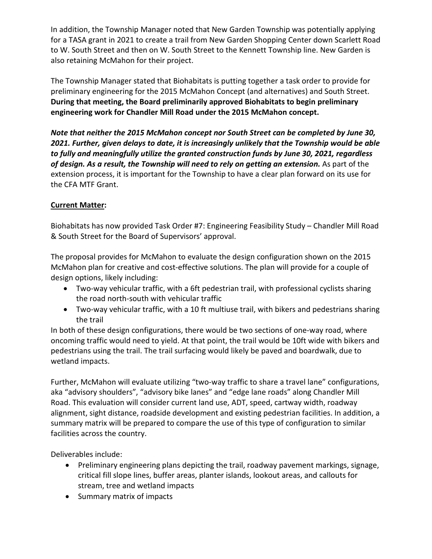In addition, the Township Manager noted that New Garden Township was potentially applying for a TASA grant in 2021 to create a trail from New Garden Shopping Center down Scarlett Road to W. South Street and then on W. South Street to the Kennett Township line. New Garden is also retaining McMahon for their project.

The Township Manager stated that Biohabitats is putting together a task order to provide for preliminary engineering for the 2015 McMahon Concept (and alternatives) and South Street. **During that meeting, the Board preliminarily approved Biohabitats to begin preliminary engineering work for Chandler Mill Road under the 2015 McMahon concept.** 

*Note that neither the 2015 McMahon concept nor South Street can be completed by June 30, 2021. Further, given delays to date, it is increasingly unlikely that the Township would be able to fully and meaningfully utilize the granted construction funds by June 30, 2021, regardless of design. As a result, the Township will need to rely on getting an extension.* As part of the extension process, it is important for the Township to have a clear plan forward on its use for the CFA MTF Grant.

## **Current Matter:**

Biohabitats has now provided Task Order #7: Engineering Feasibility Study – Chandler Mill Road & South Street for the Board of Supervisors' approval.

The proposal provides for McMahon to evaluate the design configuration shown on the 2015 McMahon plan for creative and cost-effective solutions. The plan will provide for a couple of design options, likely including:

- Two-way vehicular traffic, with a 6ft pedestrian trail, with professional cyclists sharing the road north-south with vehicular traffic
- Two-way vehicular traffic, with a 10 ft multiuse trail, with bikers and pedestrians sharing the trail

In both of these design configurations, there would be two sections of one-way road, where oncoming traffic would need to yield. At that point, the trail would be 10ft wide with bikers and pedestrians using the trail. The trail surfacing would likely be paved and boardwalk, due to wetland impacts.

Further, McMahon will evaluate utilizing "two-way traffic to share a travel lane" configurations, aka "advisory shoulders", "advisory bike lanes" and "edge lane roads" along Chandler Mill Road. This evaluation will consider current land use, ADT, speed, cartway width, roadway alignment, sight distance, roadside development and existing pedestrian facilities. In addition, a summary matrix will be prepared to compare the use of this type of configuration to similar facilities across the country.

Deliverables include:

- Preliminary engineering plans depicting the trail, roadway pavement markings, signage, critical fill slope lines, buffer areas, planter islands, lookout areas, and callouts for stream, tree and wetland impacts
- Summary matrix of impacts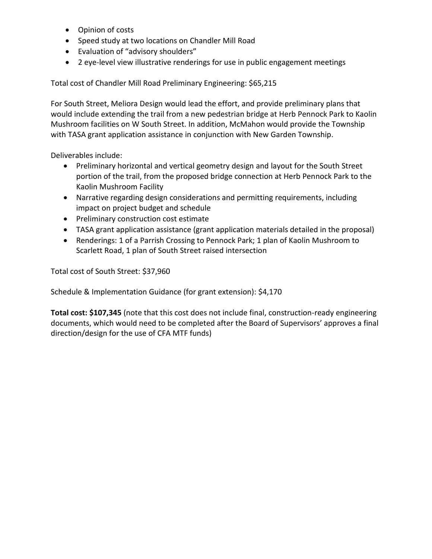- Opinion of costs
- Speed study at two locations on Chandler Mill Road
- Evaluation of "advisory shoulders"
- 2 eye-level view illustrative renderings for use in public engagement meetings

Total cost of Chandler Mill Road Preliminary Engineering: \$65,215

For South Street, Meliora Design would lead the effort, and provide preliminary plans that would include extending the trail from a new pedestrian bridge at Herb Pennock Park to Kaolin Mushroom facilities on W South Street. In addition, McMahon would provide the Township with TASA grant application assistance in conjunction with New Garden Township.

Deliverables include:

- Preliminary horizontal and vertical geometry design and layout for the South Street portion of the trail, from the proposed bridge connection at Herb Pennock Park to the Kaolin Mushroom Facility
- Narrative regarding design considerations and permitting requirements, including impact on project budget and schedule
- Preliminary construction cost estimate
- TASA grant application assistance (grant application materials detailed in the proposal)
- Renderings: 1 of a Parrish Crossing to Pennock Park; 1 plan of Kaolin Mushroom to Scarlett Road, 1 plan of South Street raised intersection

Total cost of South Street: \$37,960

Schedule & Implementation Guidance (for grant extension): \$4,170

**Total cost: \$107,345** (note that this cost does not include final, construction-ready engineering documents, which would need to be completed after the Board of Supervisors' approves a final direction/design for the use of CFA MTF funds)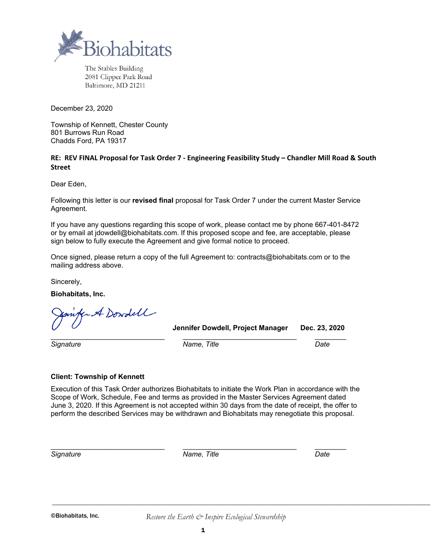

The Stables Building 2081 Clipper Park Road Baltimore, MD 21211

December 23, 2020

Township of Kennett, Chester County 801 Burrows Run Road Chadds Ford, PA 19317

#### **RE: REV FINAL Proposal for Task Order 7 - Engineering Feasibility Study – Chandler Mill Road & South Street**

Dear Eden,

Following this letter is our **revised final** proposal for Task Order 7 under the current Master Service Agreement.

If you have any questions regarding this scope of work, please contact me by phone 667-401-8472 or by email at jdowdell@biohabitats.com. If this proposed scope and fee, are acceptable, please sign below to fully execute the Agreement and give formal notice to proceed.

Once signed, please return a copy of the full Agreement to: contracts@biohabitats.com or to the mailing address above.

Sincerely,

**Biohabitats, Inc.**

A Dowdell

**Jennifer Dowdell, Project Manager Dec. 23, 2020**

*Signature Name, Title Date*

\_\_\_\_\_\_\_\_\_\_\_\_\_\_\_\_\_\_\_\_\_\_\_\_\_\_\_\_\_ \_\_\_\_\_\_\_\_\_\_\_\_\_\_\_\_\_\_\_\_\_\_\_\_\_\_\_\_\_ \_\_\_\_\_\_\_\_

#### **Client: Township of Kennett**

Execution of this Task Order authorizes Biohabitats to initiate the Work Plan in accordance with the Scope of Work, Schedule, Fee and terms as provided in the Master Services Agreement dated June 3, 2020. If this Agreement is not accepted within 30 days from the date of receipt, the offer to perform the described Services may be withdrawn and Biohabitats may renegotiate this proposal.

\_\_\_\_\_\_\_\_\_\_\_\_\_\_\_\_\_\_\_\_\_\_\_\_\_\_\_\_\_ \_\_\_\_\_\_\_\_\_\_\_\_\_\_\_\_\_\_\_\_\_\_\_\_\_\_\_\_\_ \_\_\_\_\_\_\_\_ *Signature Name, Title Date*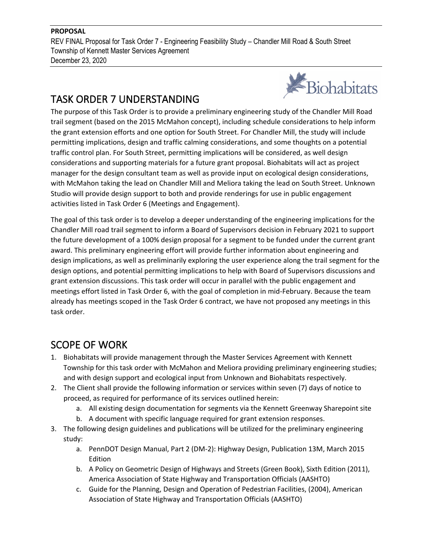REV FINAL Proposal for Task Order 7 - Engineering Feasibility Study – Chandler Mill Road & South Street Township of Kennett Master Services Agreement December 23, 2020

# TASK ORDER 7 UNDERSTANDING



The purpose of this Task Order is to provide a preliminary engineering study of the Chandler Mill Road trail segment (based on the 2015 McMahon concept), including schedule considerations to help inform the grant extension efforts and one option for South Street. For Chandler Mill, the study will include permitting implications, design and traffic calming considerations, and some thoughts on a potential traffic control plan. For South Street, permitting implications will be considered, as well design considerations and supporting materials for a future grant proposal. Biohabitats will act as project manager for the design consultant team as well as provide input on ecological design considerations, with McMahon taking the lead on Chandler Mill and Meliora taking the lead on South Street. Unknown Studio will provide design support to both and provide renderings for use in public engagement activities listed in Task Order 6 (Meetings and Engagement).

The goal of this task order is to develop a deeper understanding of the engineering implications for the Chandler Mill road trail segment to inform a Board of Supervisors decision in February 2021 to support the future development of a 100% design proposal for a segment to be funded under the current grant award. This preliminary engineering effort will provide further information about engineering and design implications, as well as preliminarily exploring the user experience along the trail segment for the design options, and potential permitting implications to help with Board of Supervisors discussions and grant extension discussions. This task order will occur in parallel with the public engagement and meetings effort listed in Task Order 6, with the goal of completion in mid-February. Because the team already has meetings scoped in the Task Order 6 contract, we have not proposed any meetings in this task order.

# SCOPE OF WORK

- 1. Biohabitats will provide management through the Master Services Agreement with Kennett Township for this task order with McMahon and Meliora providing preliminary engineering studies; and with design support and ecological input from Unknown and Biohabitats respectively.
- 2. The Client shall provide the following information or services within seven (7) days of notice to proceed, as required for performance of its services outlined herein:
	- a. All existing design documentation for segments via the Kennett Greenway Sharepoint site
	- b. A document with specific language required for grant extension responses.
- 3. The following design guidelines and publications will be utilized for the preliminary engineering study:
	- a. PennDOT Design Manual, Part 2 (DM-2): Highway Design, Publication 13M, March 2015 Edition
	- b. A Policy on Geometric Design of Highways and Streets (Green Book), Sixth Edition (2011), America Association of State Highway and Transportation Officials (AASHTO)
	- c. Guide for the Planning, Design and Operation of Pedestrian Facilities, (2004), American Association of State Highway and Transportation Officials (AASHTO)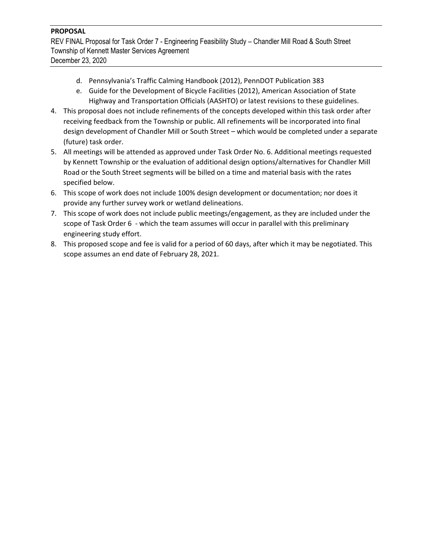REV FINAL Proposal for Task Order 7 - Engineering Feasibility Study – Chandler Mill Road & South Street Township of Kennett Master Services Agreement December 23, 2020

- d. Pennsylvania's Traffic Calming Handbook (2012), PennDOT Publication 383
- e. Guide for the Development of Bicycle Facilities (2012), American Association of State Highway and Transportation Officials (AASHTO) or latest revisions to these guidelines.
- 4. This proposal does not include refinements of the concepts developed within this task order after receiving feedback from the Township or public. All refinements will be incorporated into final design development of Chandler Mill or South Street – which would be completed under a separate (future) task order.
- 5. All meetings will be attended as approved under Task Order No. 6. Additional meetings requested by Kennett Township or the evaluation of additional design options/alternatives for Chandler Mill Road or the South Street segments will be billed on a time and material basis with the rates specified below.
- 6. This scope of work does not include 100% design development or documentation; nor does it provide any further survey work or wetland delineations.
- 7. This scope of work does not include public meetings/engagement, as they are included under the scope of Task Order 6 - which the team assumes will occur in parallel with this preliminary engineering study effort.
- 8. This proposed scope and fee is valid for a period of 60 days, after which it may be negotiated. This scope assumes an end date of February 28, 2021.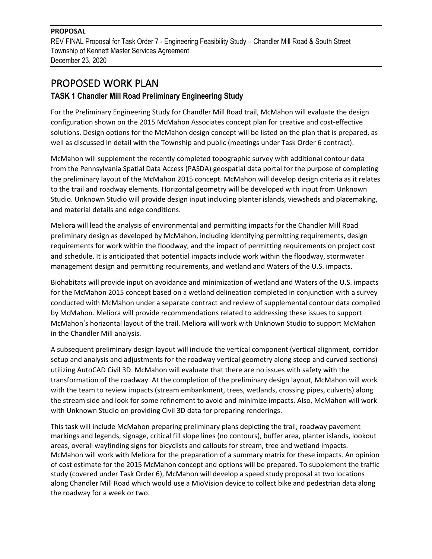REV FINAL Proposal for Task Order 7 - Engineering Feasibility Study – Chandler Mill Road & South Street Township of Kennett Master Services Agreement December 23, 2020

# PROPOSED WORK PLAN

# **TASK 1 Chandler Mill Road Preliminary Engineering Study**

For the Preliminary Engineering Study for Chandler Mill Road trail, McMahon will evaluate the design configuration shown on the 2015 McMahon Associates concept plan for creative and cost-effective solutions. Design options for the McMahon design concept will be listed on the plan that is prepared, as well as discussed in detail with the Township and public (meetings under Task Order 6 contract).

McMahon will supplement the recently completed topographic survey with additional contour data from the Pennsylvania Spatial Data Access (PASDA) geospatial data portal for the purpose of completing the preliminary layout of the McMahon 2015 concept. McMahon will develop design criteria as it relates to the trail and roadway elements. Horizontal geometry will be developed with input from Unknown Studio. Unknown Studio will provide design input including planter islands, viewsheds and placemaking, and material details and edge conditions.

Meliora will lead the analysis of environmental and permitting impacts for the Chandler Mill Road preliminary design as developed by McMahon, including identifying permitting requirements, design requirements for work within the floodway, and the impact of permitting requirements on project cost and schedule. It is anticipated that potential impacts include work within the floodway, stormwater management design and permitting requirements, and wetland and Waters of the U.S. impacts.

Biohabitats will provide input on avoidance and minimization of wetland and Waters of the U.S. impacts for the McMahon 2015 concept based on a wetland delineation completed in conjunction with a survey conducted with McMahon under a separate contract and review of supplemental contour data compiled by McMahon. Meliora will provide recommendations related to addressing these issues to support McMahon's horizontal layout of the trail. Meliora will work with Unknown Studio to support McMahon in the Chandler Mill analysis.

A subsequent preliminary design layout will include the vertical component (vertical alignment, corridor setup and analysis and adjustments for the roadway vertical geometry along steep and curved sections) utilizing AutoCAD Civil 3D. McMahon will evaluate that there are no issues with safety with the transformation of the roadway. At the completion of the preliminary design layout, McMahon will work with the team to review impacts (stream embankment, trees, wetlands, crossing pipes, culverts) along the stream side and look for some refinement to avoid and minimize impacts. Also, McMahon will work with Unknown Studio on providing Civil 3D data for preparing renderings.

This task will include McMahon preparing preliminary plans depicting the trail, roadway pavement markings and legends, signage, critical fill slope lines (no contours), buffer area, planter islands, lookout areas, overall wayfinding signs for bicyclists and callouts for stream, tree and wetland impacts. McMahon will work with Meliora for the preparation of a summary matrix for these impacts. An opinion of cost estimate for the 2015 McMahon concept and options will be prepared. To supplement the traffic study (covered under Task Order 6), McMahon will develop a speed study proposal at two locations along Chandler Mill Road which would use a MioVision device to collect bike and pedestrian data along the roadway for a week or two.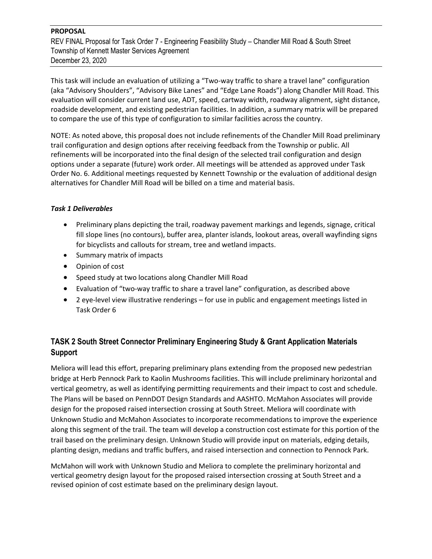REV FINAL Proposal for Task Order 7 - Engineering Feasibility Study – Chandler Mill Road & South Street Township of Kennett Master Services Agreement December 23, 2020

This task will include an evaluation of utilizing a "Two-way traffic to share a travel lane" configuration (aka "Advisory Shoulders", "Advisory Bike Lanes" and "Edge Lane Roads") along Chandler Mill Road. This evaluation will consider current land use, ADT, speed, cartway width, roadway alignment, sight distance, roadside development, and existing pedestrian facilities. In addition, a summary matrix will be prepared to compare the use of this type of configuration to similar facilities across the country.

NOTE: As noted above, this proposal does not include refinements of the Chandler Mill Road preliminary trail configuration and design options after receiving feedback from the Township or public. All refinements will be incorporated into the final design of the selected trail configuration and design options under a separate (future) work order. All meetings will be attended as approved under Task Order No. 6. Additional meetings requested by Kennett Township or the evaluation of additional design alternatives for Chandler Mill Road will be billed on a time and material basis.

#### *Task 1 Deliverables*

- Preliminary plans depicting the trail, roadway pavement markings and legends, signage, critical fill slope lines (no contours), buffer area, planter islands, lookout areas, overall wayfinding signs for bicyclists and callouts for stream, tree and wetland impacts.
- Summary matrix of impacts
- Opinion of cost
- Speed study at two locations along Chandler Mill Road
- Evaluation of "two-way traffic to share a travel lane" configuration, as described above
- 2 eye-level view illustrative renderings for use in public and engagement meetings listed in Task Order 6

# **TASK 2 South Street Connector Preliminary Engineering Study & Grant Application Materials Support**

Meliora will lead this effort, preparing preliminary plans extending from the proposed new pedestrian bridge at Herb Pennock Park to Kaolin Mushrooms facilities. This will include preliminary horizontal and vertical geometry, as well as identifying permitting requirements and their impact to cost and schedule. The Plans will be based on PennDOT Design Standards and AASHTO. McMahon Associates will provide design for the proposed raised intersection crossing at South Street. Meliora will coordinate with Unknown Studio and McMahon Associates to incorporate recommendations to improve the experience along this segment of the trail. The team will develop a construction cost estimate for this portion of the trail based on the preliminary design. Unknown Studio will provide input on materials, edging details, planting design, medians and traffic buffers, and raised intersection and connection to Pennock Park.

McMahon will work with Unknown Studio and Meliora to complete the preliminary horizontal and vertical geometry design layout for the proposed raised intersection crossing at South Street and a revised opinion of cost estimate based on the preliminary design layout.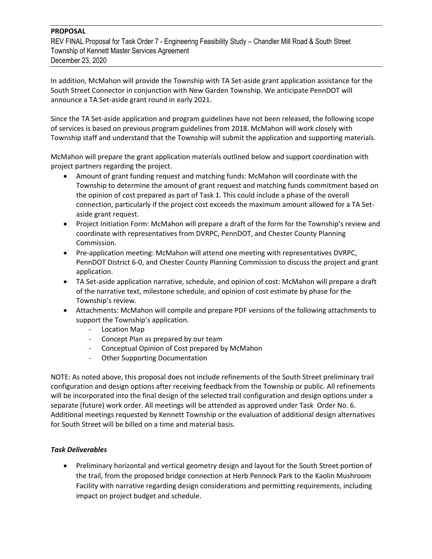REV FINAL Proposal for Task Order 7 - Engineering Feasibility Study – Chandler Mill Road & South Street Township of Kennett Master Services Agreement December 23, 2020

In addition, McMahon will provide the Township with TA Set-aside grant application assistance for the South Street Connector in conjunction with New Garden Township. We anticipate PennDOT will announce a TA Set-aside grant round in early 2021.

Since the TA Set-aside application and program guidelines have not been released, the following scope of services is based on previous program guidelines from 2018. McMahon will work closely with Township staff and understand that the Township will submit the application and supporting materials.

McMahon will prepare the grant application materials outlined below and support coordination with project partners regarding the project.

- Amount of grant funding request and matching funds: McMahon will coordinate with the Township to determine the amount of grant request and matching funds commitment based on the opinion of cost prepared as part of Task 1. This could include a phase of the overall connection, particularly if the project cost exceeds the maximum amount allowed for a TA Setaside grant request.
- Project Initiation Form: McMahon will prepare a draft of the form for the Township's review and coordinate with representatives from DVRPC, PennDOT, and Chester County Planning Commission.
- Pre-application meeting: McMahon will attend one meeting with representatives DVRPC, PennDOT District 6-0, and Chester County Planning Commission to discuss the project and grant application.
- TA Set-aside application narrative, schedule, and opinion of cost: McMahon will prepare a draft of the narrative text, milestone schedule, and opinion of cost estimate by phase for the Township's review.
- Attachments: McMahon will compile and prepare PDF versions of the following attachments to support the Township's application.
	- Location Map
	- Concept Plan as prepared by our team
	- Conceptual Opinion of Cost prepared by McMahon
	- Other Supporting Documentation

NOTE: As noted above, this proposal does not include refinements of the South Street preliminary trail configuration and design options after receiving feedback from the Township or public. All refinements will be incorporated into the final design of the selected trail configuration and design options under a separate (future) work order. All meetings will be attended as approved under Task Order No. 6. Additional meetings requested by Kennett Township or the evaluation of additional design alternatives for South Street will be billed on a time and material basis.

#### *Task Deliverables*

• Preliminary horizontal and vertical geometry design and layout for the South Street portion of the trail, from the proposed bridge connection at Herb Pennock Park to the Kaolin Mushroom Facility with narrative regarding design considerations and permitting requirements, including impact on project budget and schedule.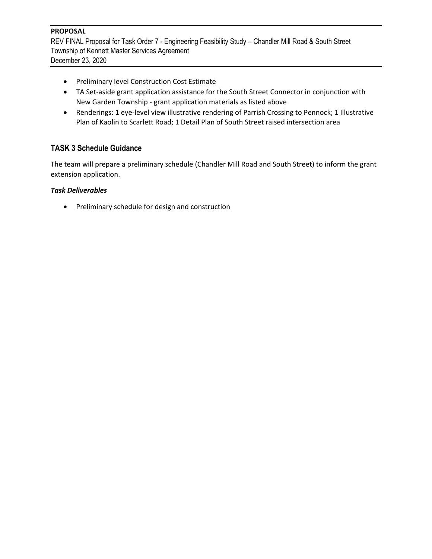REV FINAL Proposal for Task Order 7 - Engineering Feasibility Study – Chandler Mill Road & South Street Township of Kennett Master Services Agreement December 23, 2020

- Preliminary level Construction Cost Estimate
- TA Set-aside grant application assistance for the South Street Connector in conjunction with New Garden Township - grant application materials as listed above
- Renderings: 1 eye-level view illustrative rendering of Parrish Crossing to Pennock; 1 Illustrative Plan of Kaolin to Scarlett Road; 1 Detail Plan of South Street raised intersection area

### **TASK 3 Schedule Guidance**

The team will prepare a preliminary schedule (Chandler Mill Road and South Street) to inform the grant extension application.

#### *Task Deliverables*

• Preliminary schedule for design and construction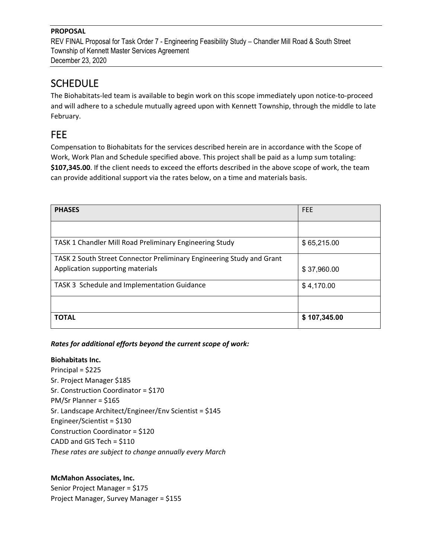REV FINAL Proposal for Task Order 7 - Engineering Feasibility Study – Chandler Mill Road & South Street Township of Kennett Master Services Agreement December 23, 2020

# **SCHEDULE**

The Biohabitats-led team is available to begin work on this scope immediately upon notice-to-proceed and will adhere to a schedule mutually agreed upon with Kennett Township, through the middle to late February.

# FEE

Compensation to Biohabitats for the services described herein are in accordance with the Scope of Work, Work Plan and Schedule specified above. This project shall be paid as a lump sum totaling: **\$107,345.00**. If the client needs to exceed the efforts described in the above scope of work, the team can provide additional support via the rates below, on a time and materials basis.

| <b>PHASES</b>                                                         | <b>FEE</b>   |
|-----------------------------------------------------------------------|--------------|
|                                                                       |              |
| TASK 1 Chandler Mill Road Preliminary Engineering Study               | \$65,215.00  |
| TASK 2 South Street Connector Preliminary Engineering Study and Grant |              |
| Application supporting materials                                      | \$37,960.00  |
| TASK 3 Schedule and Implementation Guidance                           | \$4,170.00   |
|                                                                       |              |
| <b>TOTAL</b>                                                          | \$107,345.00 |

### *Rates for additional efforts beyond the current scope of work:*

#### **Biohabitats Inc.**

Principal = \$225 Sr. Project Manager \$185 Sr. Construction Coordinator = \$170 PM/Sr Planner = \$165 Sr. Landscape Architect/Engineer/Env Scientist = \$145 Engineer/Scientist = \$130 Construction Coordinator = \$120 CADD and GIS Tech = \$110 *These rates are subject to change annually every March*

#### **McMahon Associates, Inc.**

Senior Project Manager = \$175 Project Manager, Survey Manager = \$155